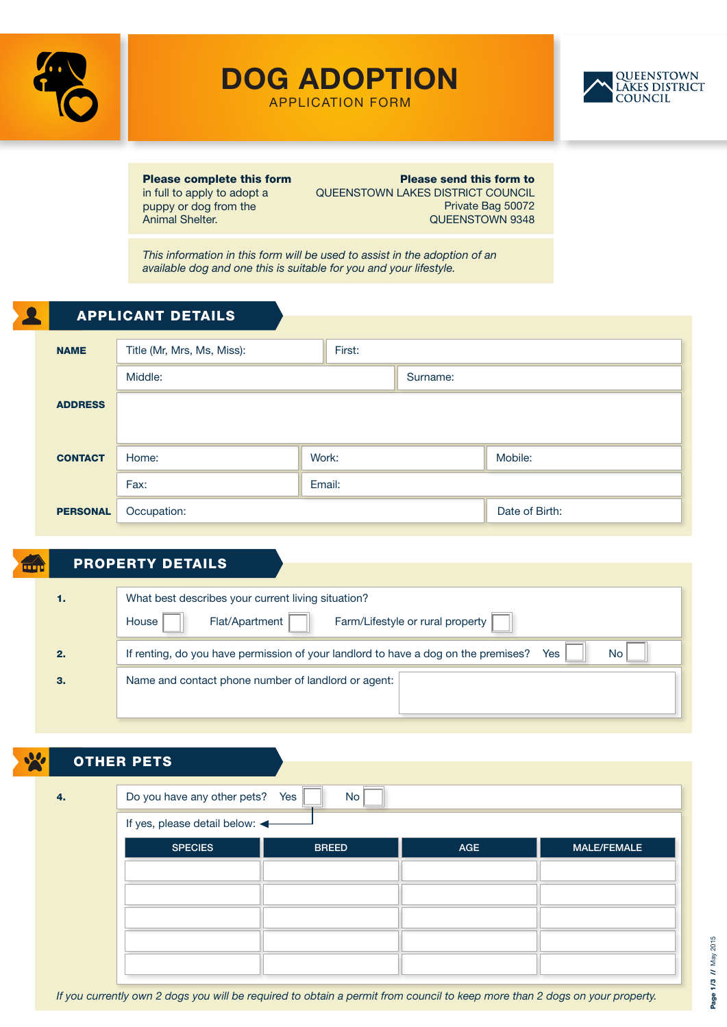

DOG ADOPTION



APPLICATION FORM

Please complete this form in full to apply to adopt a puppy or dog from the Animal Shelter.

Please send this form to QUEENSTOWN LAKES DISTRICT COUNCIL Private Bag 50072 QUEENSTOWN 9348

*This information in this form will be used to assist in the adoption of an available dog and one this is suitable for you and your lifestyle.*

|                 | <b>APPLICANT DETAILS</b>   |        |        |  |                |  |
|-----------------|----------------------------|--------|--------|--|----------------|--|
|                 |                            |        |        |  |                |  |
| <b>NAME</b>     | Title (Mr, Mrs, Ms, Miss): |        | First: |  |                |  |
|                 | Middle:<br>Surname:        |        |        |  |                |  |
| <b>ADDRESS</b>  |                            |        |        |  |                |  |
|                 |                            |        |        |  |                |  |
| <b>CONTACT</b>  | Home:                      | Work:  |        |  | Mobile:        |  |
|                 | Fax:                       | Email: |        |  |                |  |
| <b>PERSONAL</b> | Occupation:                |        |        |  | Date of Birth: |  |
|                 |                            |        |        |  |                |  |

## PROPERTY DETAILS

| 1. | What best describes your current living situation?                                                     |  |  |  |  |  |  |  |
|----|--------------------------------------------------------------------------------------------------------|--|--|--|--|--|--|--|
|    | Farm/Lifestyle or rural property<br>Flat/Apartment<br>House                                            |  |  |  |  |  |  |  |
| 2. | If renting, do you have permission of your landlord to have a dog on the premises?<br><b>No</b><br>Yes |  |  |  |  |  |  |  |
| З. | Name and contact phone number of landlord or agent:                                                    |  |  |  |  |  |  |  |
|    |                                                                                                        |  |  |  |  |  |  |  |

| <u>le</u> | <b>OTHER PETS</b>               |              |     |                    |  |  |  |
|-----------|---------------------------------|--------------|-----|--------------------|--|--|--|
| 4.        | Do you have any other pets? Yes | <b>No</b>    |     |                    |  |  |  |
|           | If yes, please detail below:    |              |     |                    |  |  |  |
|           | <b>SPECIES</b>                  | <b>BREED</b> | AGE | <b>MALE/FEMALE</b> |  |  |  |
|           |                                 |              |     |                    |  |  |  |
|           |                                 |              |     |                    |  |  |  |
|           |                                 |              |     |                    |  |  |  |
|           |                                 |              |     |                    |  |  |  |
|           |                                 |              |     |                    |  |  |  |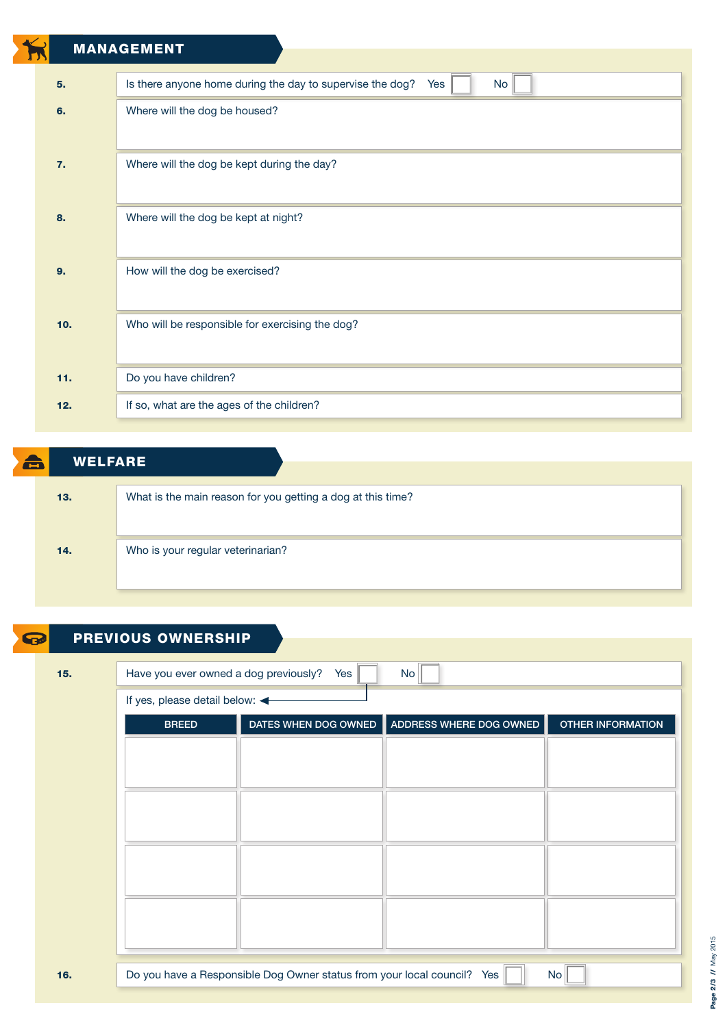|                 | <b>MANAGEMENT</b>                                                      |  |  |  |
|-----------------|------------------------------------------------------------------------|--|--|--|
|                 |                                                                        |  |  |  |
| 5.              | Is there anyone home during the day to supervise the dog?<br>No<br>Yes |  |  |  |
| 6.              | Where will the dog be housed?                                          |  |  |  |
|                 |                                                                        |  |  |  |
| 7.              | Where will the dog be kept during the day?                             |  |  |  |
|                 |                                                                        |  |  |  |
| 8.              | Where will the dog be kept at night?                                   |  |  |  |
|                 |                                                                        |  |  |  |
| 9.              | How will the dog be exercised?                                         |  |  |  |
|                 |                                                                        |  |  |  |
| 10 <sub>1</sub> | Who will be responsible for exercising the dog?                        |  |  |  |
|                 |                                                                        |  |  |  |
| 11.             |                                                                        |  |  |  |
|                 | Do you have children?                                                  |  |  |  |
| 12.             | If so, what are the ages of the children?                              |  |  |  |
|                 |                                                                        |  |  |  |

| â | <b>WELFARE</b> |                                                             |
|---|----------------|-------------------------------------------------------------|
|   |                |                                                             |
|   | 13.            | What is the main reason for you getting a dog at this time? |
|   |                |                                                             |
|   |                |                                                             |
|   | 14.            | Who is your regular veterinarian?                           |
|   |                |                                                             |
|   |                |                                                             |

| 15. | Have you ever owned a dog previously?<br>No<br>Yes |  |                                              |                          |  |  |  |
|-----|----------------------------------------------------|--|----------------------------------------------|--------------------------|--|--|--|
|     | If yes, please detail below:                       |  |                                              |                          |  |  |  |
|     | <b>BREED</b>                                       |  | DATES WHEN DOG OWNED ADDRESS WHERE DOG OWNED | <b>OTHER INFORMATION</b> |  |  |  |
|     |                                                    |  |                                              |                          |  |  |  |
|     |                                                    |  |                                              |                          |  |  |  |
|     |                                                    |  |                                              |                          |  |  |  |
|     |                                                    |  |                                              |                          |  |  |  |
|     |                                                    |  |                                              |                          |  |  |  |
|     |                                                    |  |                                              |                          |  |  |  |
|     |                                                    |  |                                              |                          |  |  |  |
|     |                                                    |  |                                              |                          |  |  |  |
|     |                                                    |  |                                              |                          |  |  |  |

## Page 2/3 // May 2015 Page 2/3 // May 2015